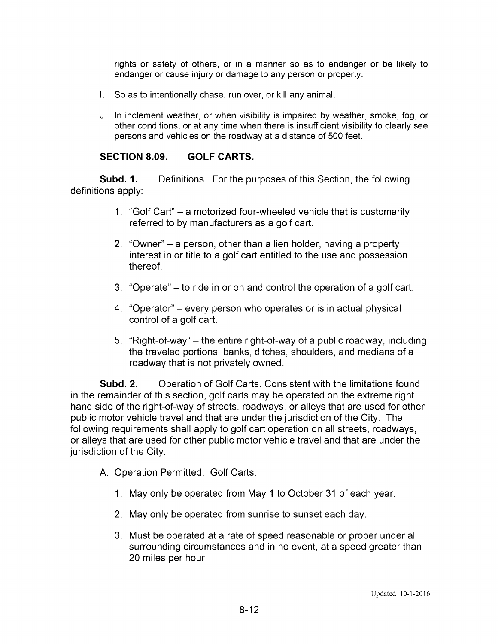rights or safety of others, or in a manner so as to endanger or be likely to endanger or cause injury or damage to any person or property.

- I. So as to intentionally chase, run over, or kill any animal.
- J. In inclement weather, or when visibility is impaired by weather, smoke, fog, or other conditions, or at any time when there is insufficient visibility to clearly see persons and vehicles on the roadway at a distance of 500 feet.

## **SECTION 8.09. GOLF CARTS.**

Subd. 1. Definitions. For the purposes of this Section, the following definitions apply:

- 1. "Golf Cart" a motorized four-wheeled vehicle that is customarily referred to by manufacturers as a golf cart.
- 2. "Owner" a person, other than a lien holder, having a property interest in or title to a golf cart entitled to the use and possession thereof.
- 3. "Operate" to ride in or on and control the operation of a golf cart.
- 4. "Operator" every person who operates or is in actual physical control of a golf cart.
- 5. "Right-of-way" the entire right-of-way of a public roadway, including the traveled portions, banks, ditches, shoulders, and medians of a roadway that is not privately owned.

Subd. 2. Operation of Golf Carts. Consistent with the limitations found in the remainder of this section, golf carts may be operated on the extreme right hand side of the right-of-way of streets, roadways, or alleys that are used for other public motor vehicle travel and that are under the jurisdiction of the City. The following requirements shall apply to golf cart operation on all streets, roadways, or alleys that are used for other public motor vehicle travel and that are under the jurisdiction of the City:

- A. Operation Permitted. Golf Carts:
	- 1. May only be operated from May 1 to October 31 of each year.
	- 2. May only be operated from sunrise to sunset each day.
	- 3. Must be operated at a rate of speed reasonable or proper under all surrounding circumstances and in no event, at a speed greater than 20 miles per hour.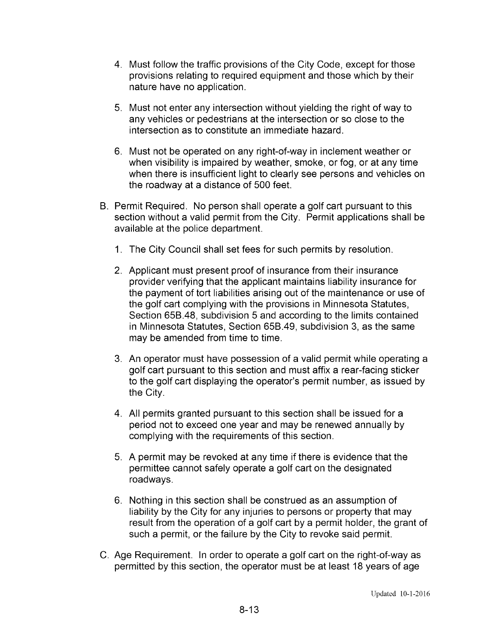- 4. Must follow the traffic provisions of the City Code, except for those provisions relating to required equipment and those which by their nature have no application.
- 5. Must not enter any intersection without yielding the right of way to any vehicles or pedestrians at the intersection or so close to the intersection as to constitute an immediate hazard.
- 6. Must not be operated on any right-of-way in inclement weather or when visibility is impaired by weather, smoke, or fog, or at any time when there is insufficient light to clearly see persons and vehicles on the roadway at a distance of 500 feet.
- B. Permit Required. No person shall operate a golf cart pursuant to this section without a valid permit from the City. Permit applications shall be available at the police department.
	- 1. The City Council shall set fees for such permits by resolution.
	- 2. Applicant must present proof of insurance from their insurance provider verifying that the applicant maintains liability insurance for the payment of tort liabilities arising out of the maintenance or use of the golf cart complying with the provisions in Minnesota Statutes, Section 65B.48, subdivision 5 and according to the limits contained in Minnesota Statutes, Section 65B.49, subdivision 3, as the same may be amended from time to time.
	- 3. An operator must have possession of a valid permit while operating a golf cart pursuant to this section and must affix a rear-facing sticker to the golf cart displaying the operator's permit number, as issued by the City.
	- 4. All permits granted pursuant to this section shall be issued for a period not to exceed one year and may be renewed annually by complying with the requirements of this section.
	- 5. A permit may be revoked at any time if there is evidence that the permittee cannot safely operate a golf cart on the designated roadways.
	- 6. Nothing in this section shall be construed as an assumption of liability by the City for any injuries to persons or property that may result from the operation of a golf cart by a permit holder, the grant of such a permit, or the failure by the City to revoke said permit.
- C. Age Requirement. In order to operate a golf cart on the right-of-way as permitted by this section, the operator must be at least 18 years of age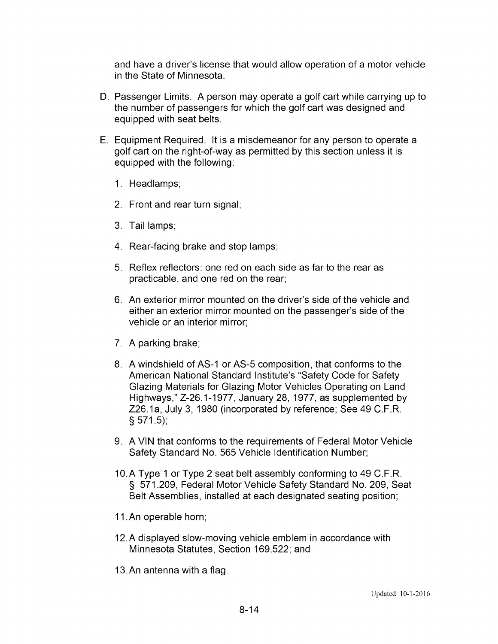and have a driver's license that would allow operation of a motor vehicle in the State of Minnesota.

- D. Passenger Limits. A person may operate a golf cart while carrying up to the number of passengers for which the golf cart was designed and equipped with seat belts.
- E. Equipment Required. It is a misdemeanor for any person to operate a golf cart on the right-of-way as permitted by this section unless it is equipped with the following:
	- 1. Headlamps;
	- 2. Front and rear turn signal;
	- 3. Tail lamps;
	- 4. Rear-facing brake and stop lamps;
	- 5. Reflex reflectors: one red on each side as far to the rear as practicable, and one red on the rear:
	- 6. An exterior mirror mounted on the driver's side of the vehicle and either an exterior mirror mounted on the passenger's side of the vehicle or an interior mirror;
	- 7. A parking brake;
	- 8. A windshield of AS-1 or AS-5 composition, that conforms to the American National Standard Institute's "Safety Code for Safety Glazing Materials for Glazing Motor Vehicles Operating on Land Highways," Z-26.1-1977, January 28, 1977, as supplemented by Z26.1a, July 3, 1980 (incorporated by reference; See 49 C.F.R.  $$571.5$ ;
	- 9. A VIN that conforms to the requirements of Federal Motor Vehicle Safety Standard No. 565 Vehicle Identification Number;
	- 10. A Type 1 or Type 2 seat belt assembly conforming to 49 C.F.R. § 571.209, Federal Motor Vehicle Safety Standard No. 209, Seat Belt Assemblies, installed at each designated seating position;
	- 11. An operable horn;
	- 12. A displayed slow-moving vehicle emblem in accordance with Minnesota Statutes, Section 169.522; and
	- 13. An antenna with a flag.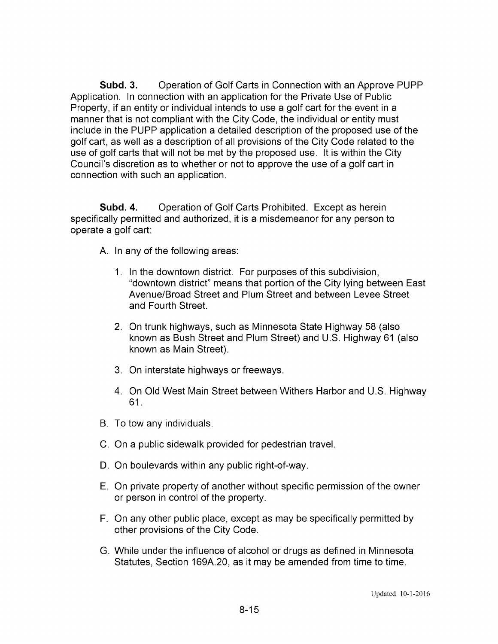Subd. 3. Operation of Golf Carts in Connection with an Approve PUPP Application. In connection with an application for the Private Use of Public Property, if an entity or individual intends to use a golf cart for the event in a manner that is not compliant with the City Code, the individual or entity must include in the PUPP application a detailed description of the proposed use of the golf cart, as well as a description of all provisions of the City Code related to the use of golf carts that will not be met by the proposed use. It is within the City Council's discretion as to whether or not to approve the use of a golf cart in connection with such an application.

**Subd. 4.** Operation of Golf Carts Prohibited. Except as herein specifically permitted and authorized, it is a misdemeanor for any person to operate a golf cart:

A. In any of the following areas:

- 1. In the downtown district. For purposes of this subdivision, "downtown district" means that portion of the City lying between East Avenue/Broad Street and Plum Street and between Levee Street and Fourth Street.
- 2. On trunk highways, such as Minnesota State Highway 58 (also known as Bush Street and Plum Street) and U.S. Highway 61 (also known as Main Street).
- 3. On interstate highways or freeways.
- 4. On Old West Main Street between Withers Harbor and U.S. Highway 61.
- B. To tow any individuals.
- C. On a public sidewalk provided for pedestrian travel.
- D. On boulevards within any public right-of-way.
- E. On private property of another without specific permission of the owner or person in control of the property.
- F. On any other public place, except as may be specifically permitted by other provisions of the City Code.
- G. While under the influence of alcohol or drugs as defined in Minnesota Statutes, Section 169A.20, as it may be amended from time to time.